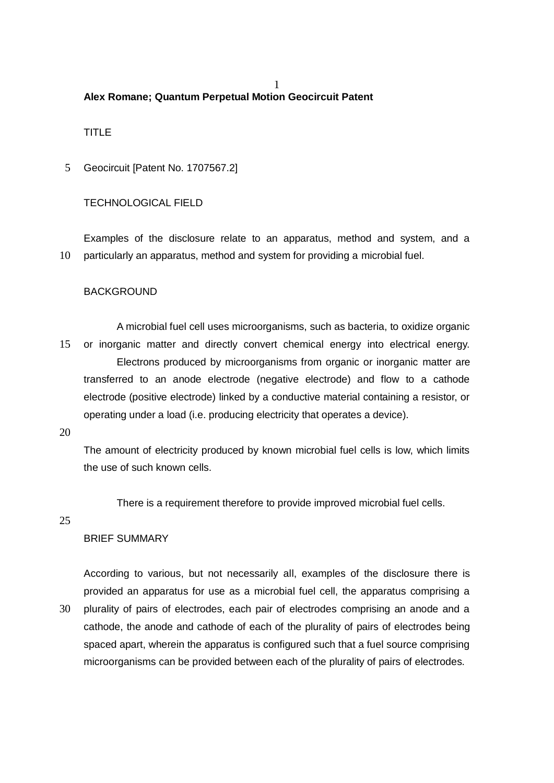#### 1 **Alex Romane; Quantum Perpetual Motion Geocircuit Patent**

# TITLE

5 Geocircuit [Patent No. 1707567.2]

## TECHNOLOGICAL FIELD

Examples of the disclosure relate to an apparatus, method and system, and a 10 particularly an apparatus, method and system for providing a microbial fuel.

## **BACKGROUND**

A microbial fuel cell uses microorganisms, such as bacteria, to oxidize organic 15 or inorganic matter and directly convert chemical energy into electrical energy. Electrons produced by microorganisms from organic or inorganic matter are transferred to an anode electrode (negative electrode) and flow to a cathode electrode (positive electrode) linked by a conductive material containing a resistor, or operating under a load (i.e. producing electricity that operates a device).

20

The amount of electricity produced by known microbial fuel cells is low, which limits the use of such known cells.

There is a requirement therefore to provide improved microbial fuel cells.

25

#### BRIEF SUMMARY

According to various, but not necessarily all, examples of the disclosure there is provided an apparatus for use as a microbial fuel cell, the apparatus comprising a 30 plurality of pairs of electrodes, each pair of electrodes comprising an anode and a cathode, the anode and cathode of each of the plurality of pairs of electrodes being spaced apart, wherein the apparatus is configured such that a fuel source comprising microorganisms can be provided between each of the plurality of pairs of electrodes.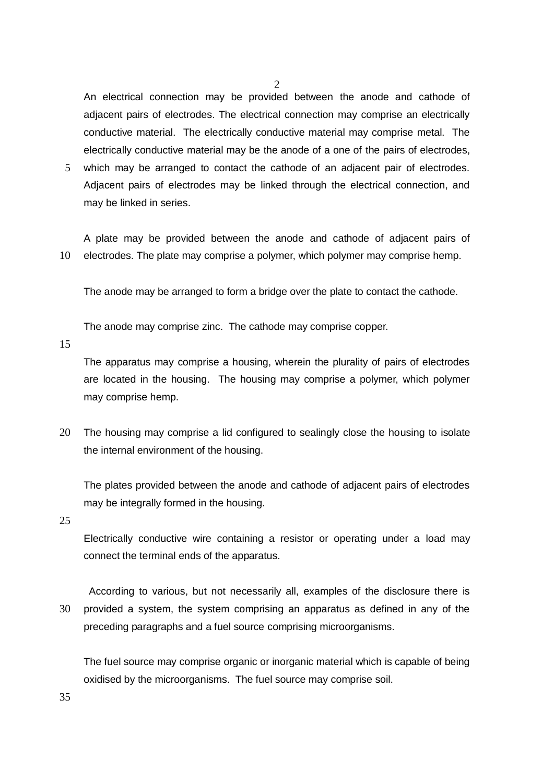An electrical connection may be provided between the anode and cathode of adjacent pairs of electrodes. The electrical connection may comprise an electrically conductive material. The electrically conductive material may comprise metal. The electrically conductive material may be the anode of a one of the pairs of electrodes,

2

5 which may be arranged to contact the cathode of an adjacent pair of electrodes. Adjacent pairs of electrodes may be linked through the electrical connection, and may be linked in series.

A plate may be provided between the anode and cathode of adjacent pairs of 10 electrodes. The plate may comprise a polymer, which polymer may comprise hemp.

The anode may be arranged to form a bridge over the plate to contact the cathode.

The anode may comprise zinc. The cathode may comprise copper.

15

The apparatus may comprise a housing, wherein the plurality of pairs of electrodes are located in the housing. The housing may comprise a polymer, which polymer may comprise hemp.

20 The housing may comprise a lid configured to sealingly close the housing to isolate the internal environment of the housing.

The plates provided between the anode and cathode of adjacent pairs of electrodes may be integrally formed in the housing.

25

Electrically conductive wire containing a resistor or operating under a load may connect the terminal ends of the apparatus.

 According to various, but not necessarily all, examples of the disclosure there is 30 provided a system, the system comprising an apparatus as defined in any of the preceding paragraphs and a fuel source comprising microorganisms.

The fuel source may comprise organic or inorganic material which is capable of being oxidised by the microorganisms. The fuel source may comprise soil.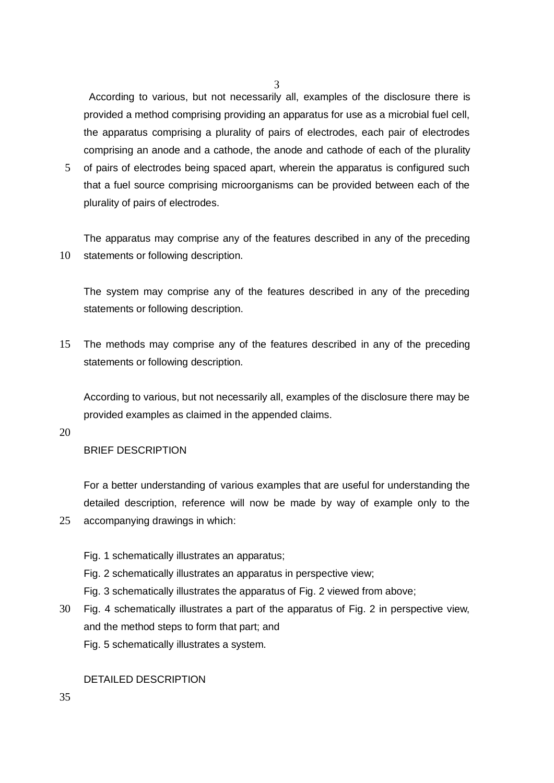According to various, but not necessarily all, examples of the disclosure there is provided a method comprising providing an apparatus for use as a microbial fuel cell, the apparatus comprising a plurality of pairs of electrodes, each pair of electrodes comprising an anode and a cathode, the anode and cathode of each of the plurality

3

5 of pairs of electrodes being spaced apart, wherein the apparatus is configured such that a fuel source comprising microorganisms can be provided between each of the plurality of pairs of electrodes.

The apparatus may comprise any of the features described in any of the preceding 10 statements or following description.

The system may comprise any of the features described in any of the preceding statements or following description.

15 The methods may comprise any of the features described in any of the preceding statements or following description.

According to various, but not necessarily all, examples of the disclosure there may be provided examples as claimed in the appended claims.

20

## BRIEF DESCRIPTION

For a better understanding of various examples that are useful for understanding the detailed description, reference will now be made by way of example only to the 25 accompanying drawings in which:

- Fig. 1 schematically illustrates an apparatus;
- Fig. 2 schematically illustrates an apparatus in perspective view;
- Fig. 3 schematically illustrates the apparatus of Fig. 2 viewed from above;
- 30 Fig. 4 schematically illustrates a part of the apparatus of Fig. 2 in perspective view, and the method steps to form that part; and Fig. 5 schematically illustrates a system.

## DETAILED DESCRIPTION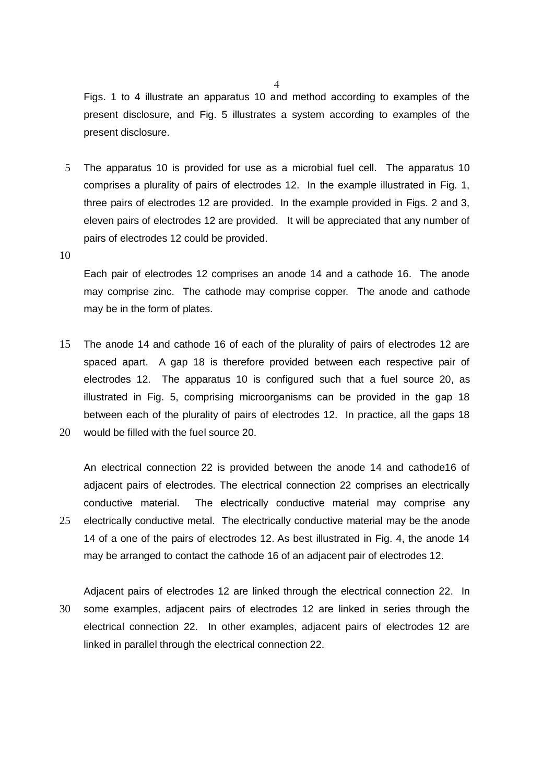Figs. 1 to 4 illustrate an apparatus 10 and method according to examples of the present disclosure, and Fig. 5 illustrates a system according to examples of the present disclosure.

5 The apparatus 10 is provided for use as a microbial fuel cell. The apparatus 10 comprises a plurality of pairs of electrodes 12. In the example illustrated in Fig. 1, three pairs of electrodes 12 are provided. In the example provided in Figs. 2 and 3, eleven pairs of electrodes 12 are provided. It will be appreciated that any number of pairs of electrodes 12 could be provided.

10

Each pair of electrodes 12 comprises an anode 14 and a cathode 16. The anode may comprise zinc. The cathode may comprise copper. The anode and cathode may be in the form of plates.

15 The anode 14 and cathode 16 of each of the plurality of pairs of electrodes 12 are spaced apart. A gap 18 is therefore provided between each respective pair of electrodes 12. The apparatus 10 is configured such that a fuel source 20, as illustrated in Fig. 5, comprising microorganisms can be provided in the gap 18 between each of the plurality of pairs of electrodes 12. In practice, all the gaps 18 20 would be filled with the fuel source 20.

An electrical connection 22 is provided between the anode 14 and cathode16 of adjacent pairs of electrodes. The electrical connection 22 comprises an electrically conductive material. The electrically conductive material may comprise any 25 electrically conductive metal. The electrically conductive material may be the anode 14 of a one of the pairs of electrodes 12. As best illustrated in Fig. 4, the anode 14 may be arranged to contact the cathode 16 of an adjacent pair of electrodes 12.

Adjacent pairs of electrodes 12 are linked through the electrical connection 22. In 30 some examples, adjacent pairs of electrodes 12 are linked in series through the electrical connection 22. In other examples, adjacent pairs of electrodes 12 are linked in parallel through the electrical connection 22.

4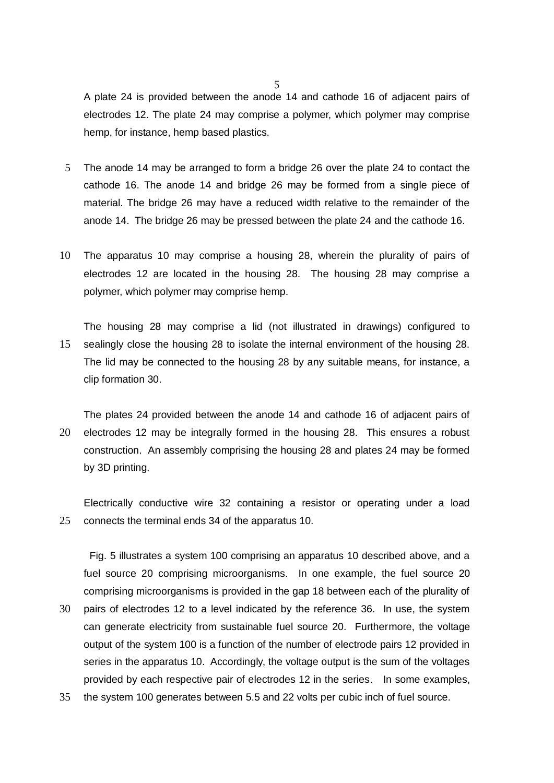A plate 24 is provided between the anode 14 and cathode 16 of adjacent pairs of electrodes 12. The plate 24 may comprise a polymer, which polymer may comprise hemp, for instance, hemp based plastics.

- 5 The anode 14 may be arranged to form a bridge 26 over the plate 24 to contact the cathode 16. The anode 14 and bridge 26 may be formed from a single piece of material. The bridge 26 may have a reduced width relative to the remainder of the anode 14. The bridge 26 may be pressed between the plate 24 and the cathode 16.
- 10 The apparatus 10 may comprise a housing 28, wherein the plurality of pairs of electrodes 12 are located in the housing 28. The housing 28 may comprise a polymer, which polymer may comprise hemp.
- The housing 28 may comprise a lid (not illustrated in drawings) configured to 15 sealingly close the housing 28 to isolate the internal environment of the housing 28. The lid may be connected to the housing 28 by any suitable means, for instance, a clip formation 30.

The plates 24 provided between the anode 14 and cathode 16 of adjacent pairs of 20 electrodes 12 may be integrally formed in the housing 28. This ensures a robust construction. An assembly comprising the housing 28 and plates 24 may be formed by 3D printing.

Electrically conductive wire 32 containing a resistor or operating under a load 25 connects the terminal ends 34 of the apparatus 10.

 Fig. 5 illustrates a system 100 comprising an apparatus 10 described above, and a fuel source 20 comprising microorganisms. In one example, the fuel source 20 comprising microorganisms is provided in the gap 18 between each of the plurality of 30 pairs of electrodes 12 to a level indicated by the reference 36. In use, the system can generate electricity from sustainable fuel source 20. Furthermore, the voltage output of the system 100 is a function of the number of electrode pairs 12 provided in series in the apparatus 10. Accordingly, the voltage output is the sum of the voltages

- provided by each respective pair of electrodes 12 in the series. In some examples,
- 35 the system 100 generates between 5.5 and 22 volts per cubic inch of fuel source.

5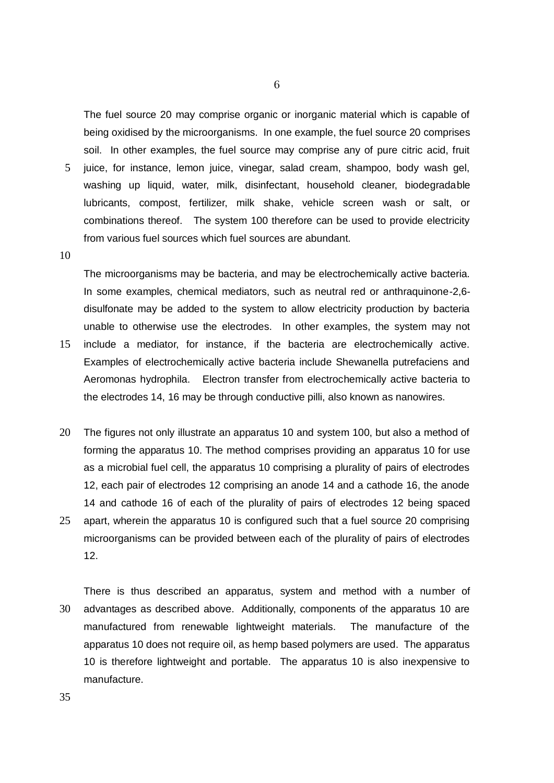The fuel source 20 may comprise organic or inorganic material which is capable of being oxidised by the microorganisms. In one example, the fuel source 20 comprises soil. In other examples, the fuel source may comprise any of pure citric acid, fruit

- 5 juice, for instance, lemon juice, vinegar, salad cream, shampoo, body wash gel, washing up liquid, water, milk, disinfectant, household cleaner, biodegradable lubricants, compost, fertilizer, milk shake, vehicle screen wash or salt, or combinations thereof. The system 100 therefore can be used to provide electricity from various fuel sources which fuel sources are abundant.
- 10

The microorganisms may be bacteria, and may be electrochemically active bacteria. In some examples, chemical mediators, such as neutral red or anthraquinone-2,6 disulfonate may be added to the system to allow electricity production by bacteria unable to otherwise use the electrodes. In other examples, the system may not

- 15 include a mediator, for instance, if the bacteria are electrochemically active. Examples of electrochemically active bacteria include Shewanella putrefaciens and Aeromonas hydrophila. Electron transfer from electrochemically active bacteria to the electrodes 14, 16 may be through conductive pilli, also known as nanowires.
- 20 The figures not only illustrate an apparatus 10 and system 100, but also a method of forming the apparatus 10. The method comprises providing an apparatus 10 for use as a microbial fuel cell, the apparatus 10 comprising a plurality of pairs of electrodes 12, each pair of electrodes 12 comprising an anode 14 and a cathode 16, the anode 14 and cathode 16 of each of the plurality of pairs of electrodes 12 being spaced 25 apart, wherein the apparatus 10 is configured such that a fuel source 20 comprising microorganisms can be provided between each of the plurality of pairs of electrodes 12.

There is thus described an apparatus, system and method with a number of 30 advantages as described above. Additionally, components of the apparatus 10 are manufactured from renewable lightweight materials. The manufacture of the apparatus 10 does not require oil, as hemp based polymers are used. The apparatus 10 is therefore lightweight and portable. The apparatus 10 is also inexpensive to manufacture.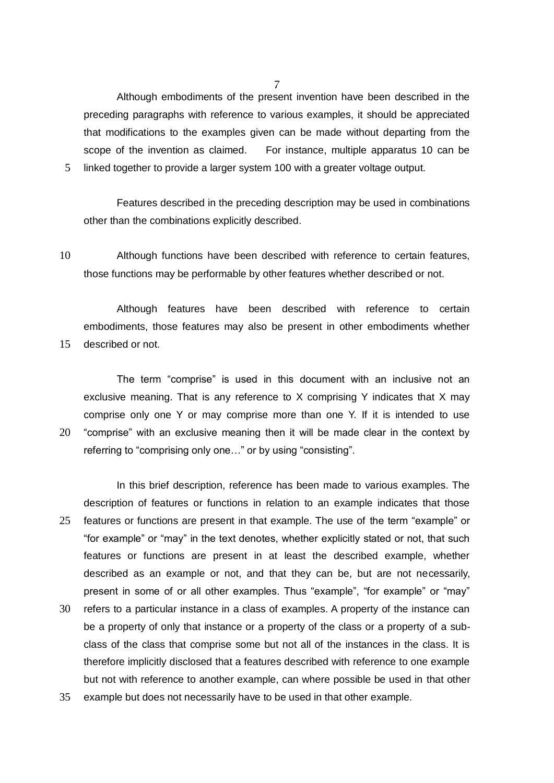7

Although embodiments of the present invention have been described in the preceding paragraphs with reference to various examples, it should be appreciated that modifications to the examples given can be made without departing from the scope of the invention as claimed. For instance, multiple apparatus 10 can be 5 linked together to provide a larger system 100 with a greater voltage output.

Features described in the preceding description may be used in combinations other than the combinations explicitly described.

10 Although functions have been described with reference to certain features, those functions may be performable by other features whether described or not.

Although features have been described with reference to certain embodiments, those features may also be present in other embodiments whether 15 described or not.

The term "comprise" is used in this document with an inclusive not an exclusive meaning. That is any reference to X comprising Y indicates that X may comprise only one Y or may comprise more than one Y. If it is intended to use 20 "comprise" with an exclusive meaning then it will be made clear in the context by referring to "comprising only one…" or by using "consisting".

In this brief description, reference has been made to various examples. The description of features or functions in relation to an example indicates that those 25 features or functions are present in that example. The use of the term "example" or "for example" or "may" in the text denotes, whether explicitly stated or not, that such features or functions are present in at least the described example, whether described as an example or not, and that they can be, but are not necessarily, present in some of or all other examples. Thus "example", "for example" or "may"

- 30 refers to a particular instance in a class of examples. A property of the instance can be a property of only that instance or a property of the class or a property of a subclass of the class that comprise some but not all of the instances in the class. It is therefore implicitly disclosed that a features described with reference to one example but not with reference to another example, can where possible be used in that other
- 35 example but does not necessarily have to be used in that other example.